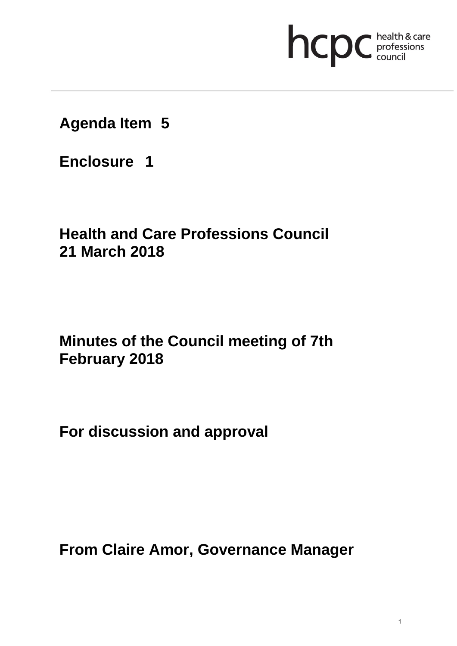# hcpc health & care

## **Agenda Item 5**

**Enclosure 1**

# **Health and Care Professions Council 21 March 2018**

# **Minutes of the Council meeting of 7th February 2018**

**For discussion and approval**

**From Claire Amor, Governance Manager**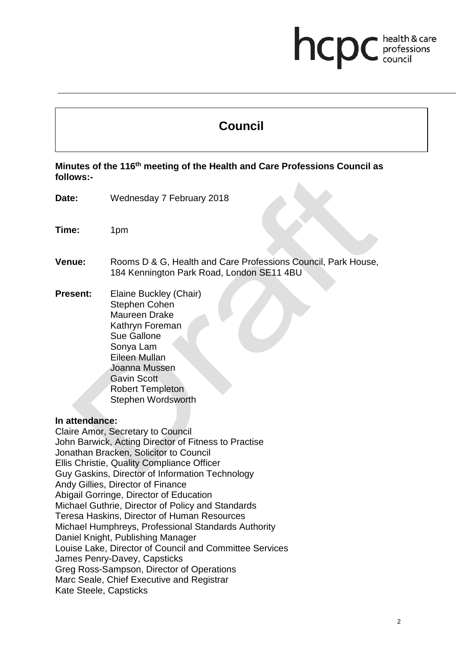### health & care hcp professions<br>council

## **Council**

#### **Minutes of the 116th meeting of the Health and Care Professions Council as follows:-**

- **Date:** Wednesday 7 February 2018
- **Time:** 1pm
- **Venue:** Rooms D & G, Health and Care Professions Council, Park House, 184 Kennington Park Road, London SE11 4BU
- **Present:** Elaine Buckley (Chair) Stephen Cohen Maureen Drake Kathryn Foreman Sue Gallone Sonya Lam Eileen Mullan Joanna Mussen Gavin Scott Robert Templeton Stephen Wordsworth

#### **In attendance:**

Claire Amor, Secretary to Council John Barwick, Acting Director of Fitness to Practise Jonathan Bracken, Solicitor to Council Ellis Christie, Quality Compliance Officer Guy Gaskins, Director of Information Technology Andy Gillies, Director of Finance Abigail Gorringe, Director of Education Michael Guthrie, Director of Policy and Standards Teresa Haskins, Director of Human Resources Michael Humphreys, Professional Standards Authority Daniel Knight, Publishing Manager Louise Lake, Director of Council and Committee Services James Penry-Davey, Capsticks Greg Ross-Sampson, Director of Operations Marc Seale, Chief Executive and Registrar Kate Steele, Capsticks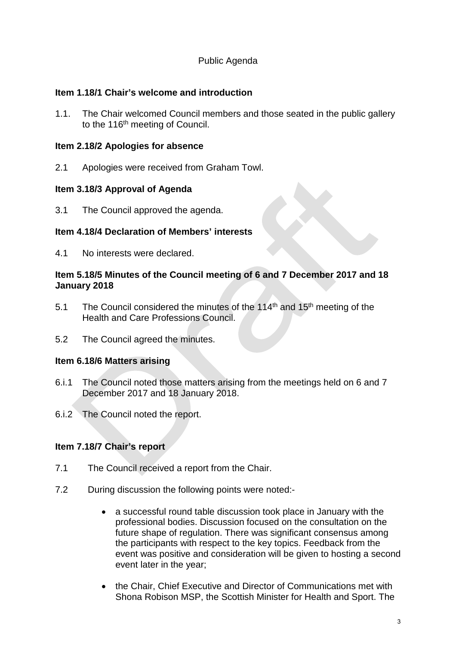#### Public Agenda

#### **Item 1.18/1 Chair's welcome and introduction**

1.1. The Chair welcomed Council members and those seated in the public gallery to the 116<sup>th</sup> meeting of Council.

#### **Item 2.18/2 Apologies for absence**

2.1 Apologies were received from Graham Towl.

#### **Item 3.18/3 Approval of Agenda**

3.1 The Council approved the agenda.

#### **Item 4.18/4 Declaration of Members' interests**

4.1 No interests were declared.

#### **Item 5.18/5 Minutes of the Council meeting of 6 and 7 December 2017 and 18 January 2018**

- 5.1 The Council considered the minutes of the 114<sup>th</sup> and 15<sup>th</sup> meeting of the Health and Care Professions Council.
- 5.2 The Council agreed the minutes.

#### **Item 6.18/6 Matters arising**

- 6.i.1 The Council noted those matters arising from the meetings held on 6 and 7 December 2017 and 18 January 2018.
- 6.i.2 The Council noted the report.

#### **Item 7.18/7 Chair's report**

- 7.1 The Council received a report from the Chair.
- 7.2 During discussion the following points were noted:-
	- a successful round table discussion took place in January with the professional bodies. Discussion focused on the consultation on the future shape of regulation. There was significant consensus among the participants with respect to the key topics. Feedback from the event was positive and consideration will be given to hosting a second event later in the year;
	- the Chair, Chief Executive and Director of Communications met with Shona Robison MSP, the Scottish Minister for Health and Sport. The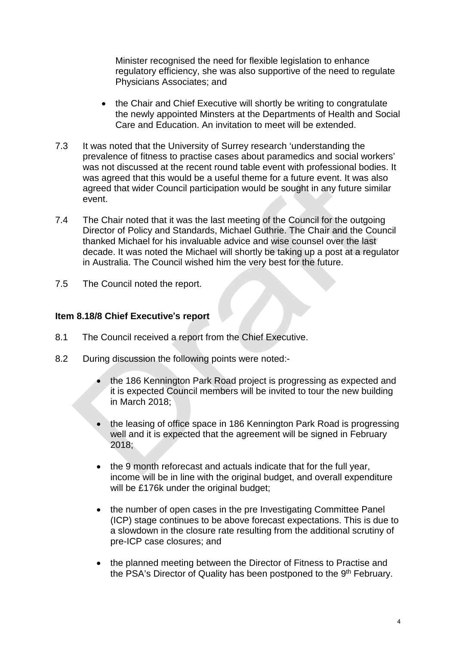Minister recognised the need for flexible legislation to enhance regulatory efficiency, she was also supportive of the need to regulate Physicians Associates; and

- the Chair and Chief Executive will shortly be writing to congratulate the newly appointed Minsters at the Departments of Health and Social Care and Education. An invitation to meet will be extended.
- 7.3 It was noted that the University of Surrey research 'understanding the prevalence of fitness to practise cases about paramedics and social workers' was not discussed at the recent round table event with professional bodies. It was agreed that this would be a useful theme for a future event. It was also agreed that wider Council participation would be sought in any future similar event.
- 7.4 The Chair noted that it was the last meeting of the Council for the outgoing Director of Policy and Standards, Michael Guthrie. The Chair and the Council thanked Michael for his invaluable advice and wise counsel over the last decade. It was noted the Michael will shortly be taking up a post at a regulator in Australia. The Council wished him the very best for the future.
- 7.5 The Council noted the report.

#### **Item 8.18/8 Chief Executive**'**s report**

- 8.1 The Council received a report from the Chief Executive.
- 8.2 During discussion the following points were noted:-
	- the 186 Kennington Park Road project is progressing as expected and it is expected Council members will be invited to tour the new building in March 2018;
	- the leasing of office space in 186 Kennington Park Road is progressing well and it is expected that the agreement will be signed in February 2018;
	- the 9 month reforecast and actuals indicate that for the full year, income will be in line with the original budget, and overall expenditure will be £176k under the original budget;
	- the number of open cases in the pre Investigating Committee Panel (ICP) stage continues to be above forecast expectations. This is due to a slowdown in the closure rate resulting from the additional scrutiny of pre-ICP case closures; and
	- the planned meeting between the Director of Fitness to Practise and the PSA's Director of Quality has been postponed to the 9<sup>th</sup> February.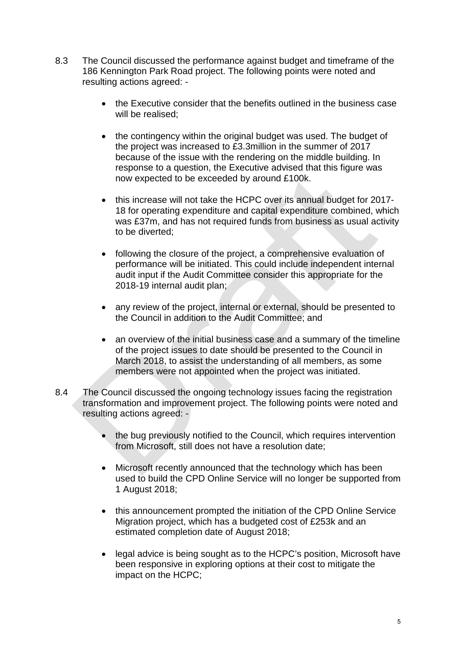- 8.3 The Council discussed the performance against budget and timeframe of the 186 Kennington Park Road project. The following points were noted and resulting actions agreed: -
	- the Executive consider that the benefits outlined in the business case will be realised:
	- the contingency within the original budget was used. The budget of the project was increased to £3.3million in the summer of 2017 because of the issue with the rendering on the middle building. In response to a question, the Executive advised that this figure was now expected to be exceeded by around £100k.
	- this increase will not take the HCPC over its annual budget for 2017- 18 for operating expenditure and capital expenditure combined, which was £37m, and has not required funds from business as usual activity to be diverted;
	- following the closure of the project, a comprehensive evaluation of performance will be initiated. This could include independent internal audit input if the Audit Committee consider this appropriate for the 2018-19 internal audit plan;
	- any review of the project, internal or external, should be presented to the Council in addition to the Audit Committee; and
	- an overview of the initial business case and a summary of the timeline of the project issues to date should be presented to the Council in March 2018, to assist the understanding of all members, as some members were not appointed when the project was initiated.
- 8.4 The Council discussed the ongoing technology issues facing the registration transformation and improvement project. The following points were noted and resulting actions agreed: -
	- the bug previously notified to the Council, which requires intervention from Microsoft, still does not have a resolution date;
	- Microsoft recently announced that the technology which has been used to build the CPD Online Service will no longer be supported from 1 August 2018;
	- this announcement prompted the initiation of the CPD Online Service Migration project, which has a budgeted cost of £253k and an estimated completion date of August 2018;
	- legal advice is being sought as to the HCPC's position, Microsoft have been responsive in exploring options at their cost to mitigate the impact on the HCPC;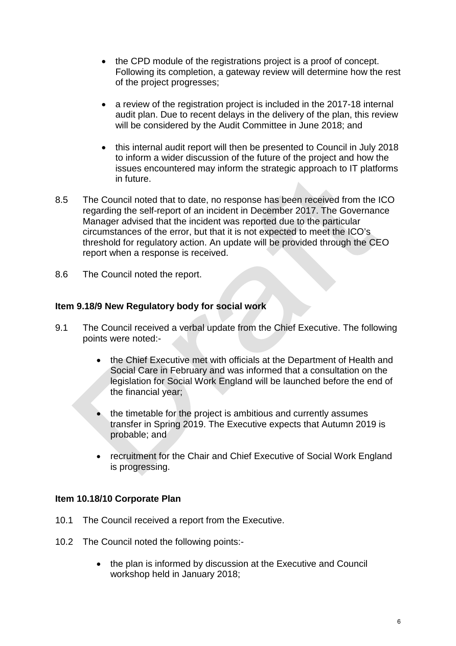- the CPD module of the registrations project is a proof of concept. Following its completion, a gateway review will determine how the rest of the project progresses;
- a review of the registration project is included in the 2017-18 internal audit plan. Due to recent delays in the delivery of the plan, this review will be considered by the Audit Committee in June 2018; and
- this internal audit report will then be presented to Council in July 2018 to inform a wider discussion of the future of the project and how the issues encountered may inform the strategic approach to IT platforms in future.
- 8.5 The Council noted that to date, no response has been received from the ICO regarding the self-report of an incident in December 2017. The Governance Manager advised that the incident was reported due to the particular circumstances of the error, but that it is not expected to meet the ICO's threshold for regulatory action. An update will be provided through the CEO report when a response is received.
- 8.6 The Council noted the report.

#### **Item 9.18/9 New Regulatory body for social work**

- 9.1 The Council received a verbal update from the Chief Executive. The following points were noted:-
	- the Chief Executive met with officials at the Department of Health and Social Care in February and was informed that a consultation on the legislation for Social Work England will be launched before the end of the financial year;
	- the timetable for the project is ambitious and currently assumes transfer in Spring 2019. The Executive expects that Autumn 2019 is probable; and
	- recruitment for the Chair and Chief Executive of Social Work England is progressing.

#### **Item 10.18/10 Corporate Plan**

- 10.1 The Council received a report from the Executive.
- 10.2 The Council noted the following points:-
	- the plan is informed by discussion at the Executive and Council workshop held in January 2018;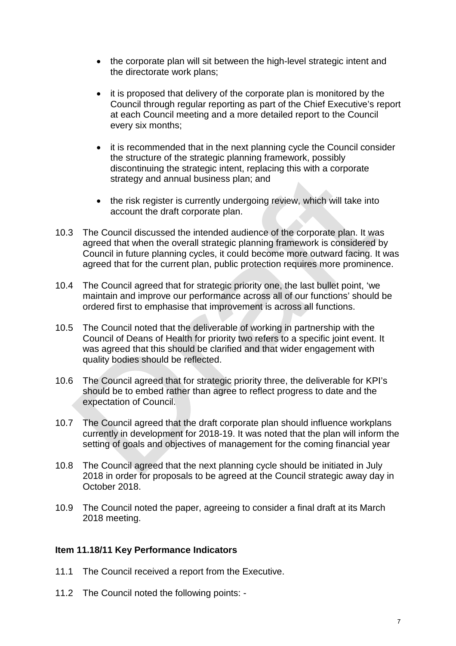- the corporate plan will sit between the high-level strategic intent and the directorate work plans;
- it is proposed that delivery of the corporate plan is monitored by the Council through regular reporting as part of the Chief Executive's report at each Council meeting and a more detailed report to the Council every six months;
- it is recommended that in the next planning cycle the Council consider the structure of the strategic planning framework, possibly discontinuing the strategic intent, replacing this with a corporate strategy and annual business plan; and
- the risk register is currently undergoing review, which will take into account the draft corporate plan.
- 10.3 The Council discussed the intended audience of the corporate plan. It was agreed that when the overall strategic planning framework is considered by Council in future planning cycles, it could become more outward facing. It was agreed that for the current plan, public protection requires more prominence.
- 10.4 The Council agreed that for strategic priority one, the last bullet point, 'we maintain and improve our performance across all of our functions' should be ordered first to emphasise that improvement is across all functions.
- 10.5 The Council noted that the deliverable of working in partnership with the Council of Deans of Health for priority two refers to a specific joint event. It was agreed that this should be clarified and that wider engagement with quality bodies should be reflected.
- 10.6 The Council agreed that for strategic priority three, the deliverable for KPI's should be to embed rather than agree to reflect progress to date and the expectation of Council.
- 10.7 The Council agreed that the draft corporate plan should influence workplans currently in development for 2018-19. It was noted that the plan will inform the setting of goals and objectives of management for the coming financial year
- 10.8 The Council agreed that the next planning cycle should be initiated in July 2018 in order for proposals to be agreed at the Council strategic away day in October 2018.
- 10.9 The Council noted the paper, agreeing to consider a final draft at its March 2018 meeting.

#### **Item 11.18/11 Key Performance Indicators**

- 11.1 The Council received a report from the Executive.
- 11.2 The Council noted the following points: -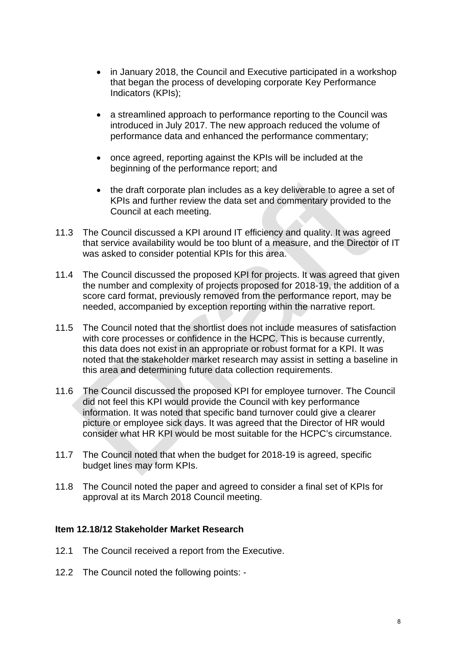- in January 2018, the Council and Executive participated in a workshop that began the process of developing corporate Key Performance Indicators (KPIs);
- a streamlined approach to performance reporting to the Council was introduced in July 2017. The new approach reduced the volume of performance data and enhanced the performance commentary;
- once agreed, reporting against the KPIs will be included at the beginning of the performance report; and
- the draft corporate plan includes as a key deliverable to agree a set of KPIs and further review the data set and commentary provided to the Council at each meeting.
- 11.3 The Council discussed a KPI around IT efficiency and quality. It was agreed that service availability would be too blunt of a measure, and the Director of IT was asked to consider potential KPIs for this area.
- 11.4 The Council discussed the proposed KPI for projects. It was agreed that given the number and complexity of projects proposed for 2018-19, the addition of a score card format, previously removed from the performance report, may be needed, accompanied by exception reporting within the narrative report.
- 11.5 The Council noted that the shortlist does not include measures of satisfaction with core processes or confidence in the HCPC. This is because currently, this data does not exist in an appropriate or robust format for a KPI. It was noted that the stakeholder market research may assist in setting a baseline in this area and determining future data collection requirements.
- 11.6 The Council discussed the proposed KPI for employee turnover. The Council did not feel this KPI would provide the Council with key performance information. It was noted that specific band turnover could give a clearer picture or employee sick days. It was agreed that the Director of HR would consider what HR KPI would be most suitable for the HCPC's circumstance.
- 11.7 The Council noted that when the budget for 2018-19 is agreed, specific budget lines may form KPIs.
- 11.8 The Council noted the paper and agreed to consider a final set of KPIs for approval at its March 2018 Council meeting.

#### **Item 12.18/12 Stakeholder Market Research**

- 12.1 The Council received a report from the Executive.
- 12.2 The Council noted the following points: -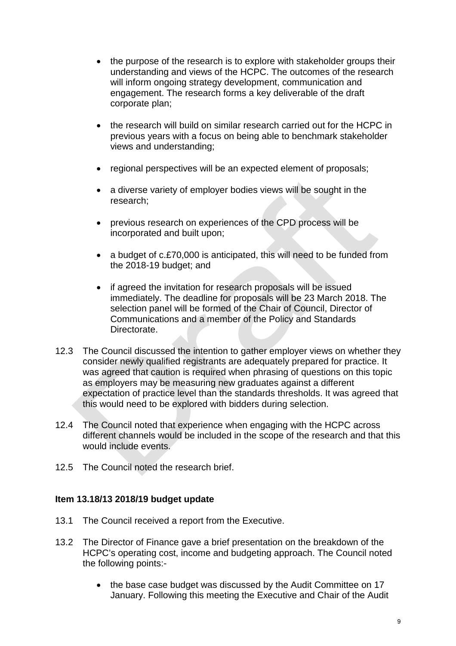- the purpose of the research is to explore with stakeholder groups their understanding and views of the HCPC. The outcomes of the research will inform ongoing strategy development, communication and engagement. The research forms a key deliverable of the draft corporate plan;
- the research will build on similar research carried out for the HCPC in previous years with a focus on being able to benchmark stakeholder views and understanding;
- regional perspectives will be an expected element of proposals;
- a diverse variety of employer bodies views will be sought in the research;
- previous research on experiences of the CPD process will be incorporated and built upon;
- a budget of c.£70,000 is anticipated, this will need to be funded from the 2018-19 budget; and
- if agreed the invitation for research proposals will be issued immediately. The deadline for proposals will be 23 March 2018. The selection panel will be formed of the Chair of Council, Director of Communications and a member of the Policy and Standards Directorate.
- 12.3 The Council discussed the intention to gather employer views on whether they consider newly qualified registrants are adequately prepared for practice. It was agreed that caution is required when phrasing of questions on this topic as employers may be measuring new graduates against a different expectation of practice level than the standards thresholds. It was agreed that this would need to be explored with bidders during selection.
- 12.4 The Council noted that experience when engaging with the HCPC across different channels would be included in the scope of the research and that this would include events.
- 12.5 The Council noted the research brief.

#### **Item 13.18/13 2018/19 budget update**

- 13.1 The Council received a report from the Executive.
- 13.2 The Director of Finance gave a brief presentation on the breakdown of the HCPC's operating cost, income and budgeting approach. The Council noted the following points:-
	- the base case budget was discussed by the Audit Committee on 17 January. Following this meeting the Executive and Chair of the Audit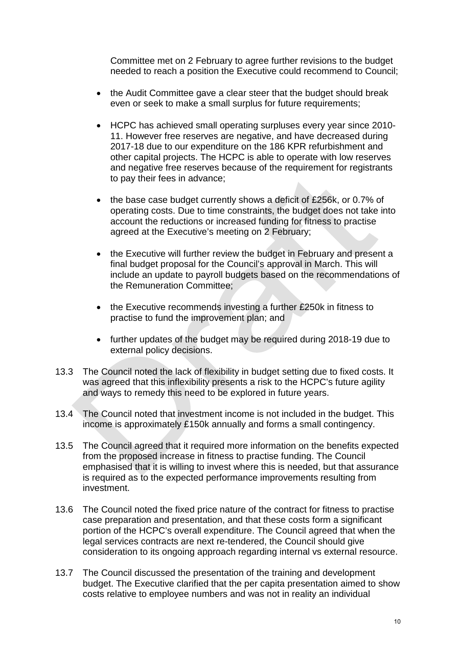Committee met on 2 February to agree further revisions to the budget needed to reach a position the Executive could recommend to Council;

- the Audit Committee gave a clear steer that the budget should break even or seek to make a small surplus for future requirements;
- HCPC has achieved small operating surpluses every year since 2010- 11. However free reserves are negative, and have decreased during 2017-18 due to our expenditure on the 186 KPR refurbishment and other capital projects. The HCPC is able to operate with low reserves and negative free reserves because of the requirement for registrants to pay their fees in advance;
- the base case budget currently shows a deficit of £256k, or 0.7% of operating costs. Due to time constraints, the budget does not take into account the reductions or increased funding for fitness to practise agreed at the Executive's meeting on 2 February;
- the Executive will further review the budget in February and present a final budget proposal for the Council's approval in March. This will include an update to payroll budgets based on the recommendations of the Remuneration Committee;
- the Executive recommends investing a further £250k in fitness to practise to fund the improvement plan; and
- further updates of the budget may be required during 2018-19 due to external policy decisions.
- 13.3 The Council noted the lack of flexibility in budget setting due to fixed costs. It was agreed that this inflexibility presents a risk to the HCPC's future agility and ways to remedy this need to be explored in future years.
- 13.4 The Council noted that investment income is not included in the budget. This income is approximately £150k annually and forms a small contingency.
- 13.5 The Council agreed that it required more information on the benefits expected from the proposed increase in fitness to practise funding. The Council emphasised that it is willing to invest where this is needed, but that assurance is required as to the expected performance improvements resulting from investment.
- 13.6 The Council noted the fixed price nature of the contract for fitness to practise case preparation and presentation, and that these costs form a significant portion of the HCPC's overall expenditure. The Council agreed that when the legal services contracts are next re-tendered, the Council should give consideration to its ongoing approach regarding internal vs external resource.
- 13.7 The Council discussed the presentation of the training and development budget. The Executive clarified that the per capita presentation aimed to show costs relative to employee numbers and was not in reality an individual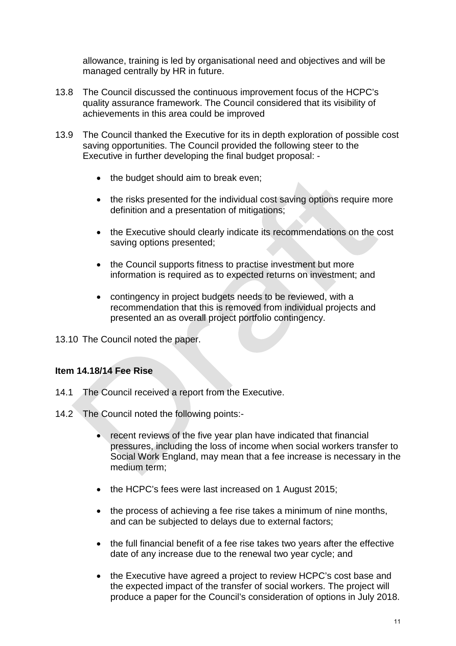allowance, training is led by organisational need and objectives and will be managed centrally by HR in future.

- 13.8 The Council discussed the continuous improvement focus of the HCPC's quality assurance framework. The Council considered that its visibility of achievements in this area could be improved
- 13.9 The Council thanked the Executive for its in depth exploration of possible cost saving opportunities. The Council provided the following steer to the Executive in further developing the final budget proposal: -
	- the budget should aim to break even;
	- the risks presented for the individual cost saving options require more definition and a presentation of mitigations;
	- the Executive should clearly indicate its recommendations on the cost saving options presented;
	- the Council supports fitness to practise investment but more information is required as to expected returns on investment; and
	- contingency in project budgets needs to be reviewed, with a recommendation that this is removed from individual projects and presented an as overall project portfolio contingency.

13.10 The Council noted the paper.

#### **Item 14.18/14 Fee Rise**

- 14.1 The Council received a report from the Executive.
- 14.2 The Council noted the following points:-
	- recent reviews of the five year plan have indicated that financial pressures, including the loss of income when social workers transfer to Social Work England, may mean that a fee increase is necessary in the medium term;
	- the HCPC's fees were last increased on 1 August 2015;
	- the process of achieving a fee rise takes a minimum of nine months, and can be subjected to delays due to external factors;
	- the full financial benefit of a fee rise takes two years after the effective date of any increase due to the renewal two year cycle; and
	- the Executive have agreed a project to review HCPC's cost base and the expected impact of the transfer of social workers. The project will produce a paper for the Council's consideration of options in July 2018.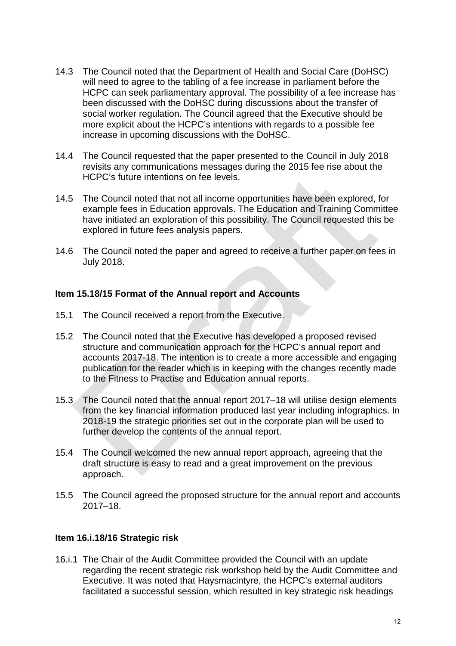- 14.3 The Council noted that the Department of Health and Social Care (DoHSC) will need to agree to the tabling of a fee increase in parliament before the HCPC can seek parliamentary approval. The possibility of a fee increase has been discussed with the DoHSC during discussions about the transfer of social worker regulation. The Council agreed that the Executive should be more explicit about the HCPC's intentions with regards to a possible fee increase in upcoming discussions with the DoHSC.
- 14.4 The Council requested that the paper presented to the Council in July 2018 revisits any communications messages during the 2015 fee rise about the HCPC's future intentions on fee levels.
- 14.5 The Council noted that not all income opportunities have been explored, for example fees in Education approvals. The Education and Training Committee have initiated an exploration of this possibility. The Council requested this be explored in future fees analysis papers.
- 14.6 The Council noted the paper and agreed to receive a further paper on fees in July 2018.

#### **Item 15.18/15 Format of the Annual report and Accounts**

- 15.1 The Council received a report from the Executive.
- 15.2 The Council noted that the Executive has developed a proposed revised structure and communication approach for the HCPC's annual report and accounts 2017-18. The intention is to create a more accessible and engaging publication for the reader which is in keeping with the changes recently made to the Fitness to Practise and Education annual reports.
- 15.3 The Council noted that the annual report 2017–18 will utilise design elements from the key financial information produced last year including infographics. In 2018-19 the strategic priorities set out in the corporate plan will be used to further develop the contents of the annual report.
- 15.4 The Council welcomed the new annual report approach, agreeing that the draft structure is easy to read and a great improvement on the previous approach.
- 15.5 The Council agreed the proposed structure for the annual report and accounts 2017–18.

#### **Item 16.i.18/16 Strategic risk**

16.i.1 The Chair of the Audit Committee provided the Council with an update regarding the recent strategic risk workshop held by the Audit Committee and Executive. It was noted that Haysmacintyre, the HCPC's external auditors facilitated a successful session, which resulted in key strategic risk headings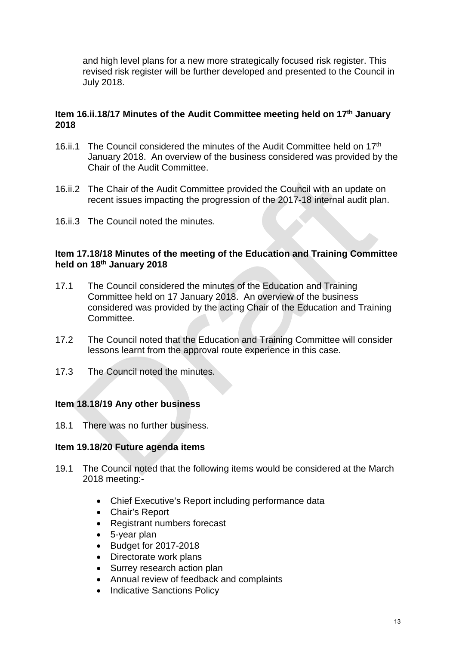and high level plans for a new more strategically focused risk register. This revised risk register will be further developed and presented to the Council in July 2018.

#### **Item 16.ii.18/17 Minutes of the Audit Committee meeting held on 17th January 2018**

- 16.ii.1 The Council considered the minutes of the Audit Committee held on 17th January 2018. An overview of the business considered was provided by the Chair of the Audit Committee.
- 16.ii.2 The Chair of the Audit Committee provided the Council with an update on recent issues impacting the progression of the 2017-18 internal audit plan.
- 16.ii.3 The Council noted the minutes.

#### **Item 17.18/18 Minutes of the meeting of the Education and Training Committee held on 18th January 2018**

- 17.1 The Council considered the minutes of the Education and Training Committee held on 17 January 2018. An overview of the business considered was provided by the acting Chair of the Education and Training Committee.
- 17.2 The Council noted that the Education and Training Committee will consider lessons learnt from the approval route experience in this case.
- 17.3 The Council noted the minutes.

#### **Item 18.18/19 Any other business**

18.1 There was no further business.

#### **Item 19.18/20 Future agenda items**

- 19.1 The Council noted that the following items would be considered at the March 2018 meeting:-
	- Chief Executive's Report including performance data
	- Chair's Report
	- Registrant numbers forecast
	- 5-year plan
	- Budget for 2017-2018
	- Directorate work plans
	- Surrey research action plan
	- Annual review of feedback and complaints
	- Indicative Sanctions Policy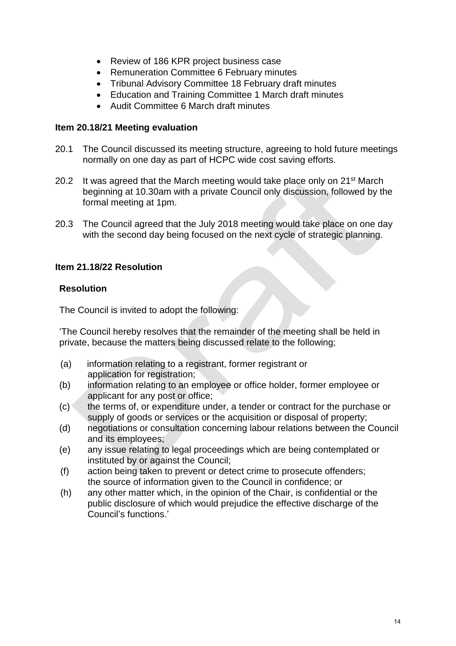- Review of 186 KPR project business case
- Remuneration Committee 6 February minutes
- Tribunal Advisory Committee 18 February draft minutes
- Education and Training Committee 1 March draft minutes
- Audit Committee 6 March draft minutes

#### **Item 20.18/21 Meeting evaluation**

- 20.1 The Council discussed its meeting structure, agreeing to hold future meetings normally on one day as part of HCPC wide cost saving efforts.
- 20.2 It was agreed that the March meeting would take place only on 21<sup>st</sup> March beginning at 10.30am with a private Council only discussion, followed by the formal meeting at 1pm.
- 20.3 The Council agreed that the July 2018 meeting would take place on one day with the second day being focused on the next cycle of strategic planning.

#### **Item 21.18/22 Resolution**

#### **Resolution**

The Council is invited to adopt the following:

'The Council hereby resolves that the remainder of the meeting shall be held in private, because the matters being discussed relate to the following;

- (a) information relating to a registrant, former registrant or application for registration;
- (b) information relating to an employee or office holder, former employee or applicant for any post or office;
- (c) the terms of, or expenditure under, a tender or contract for the purchase or supply of goods or services or the acquisition or disposal of property;
- (d) negotiations or consultation concerning labour relations between the Council and its employees;
- (e) any issue relating to legal proceedings which are being contemplated or instituted by or against the Council;
- (f) action being taken to prevent or detect crime to prosecute offenders; the source of information given to the Council in confidence; or
- (h) any other matter which, in the opinion of the Chair, is confidential or the public disclosure of which would prejudice the effective discharge of the Council's functions.'